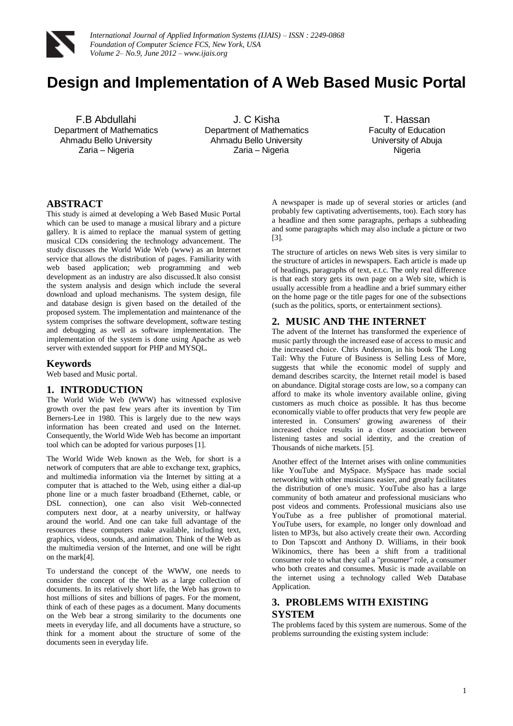

# **Design and Implementation of A Web Based Music Portal**

F.B Abdullahi Department of Mathematics Ahmadu Bello University Zaria – Nigeria

J. C Kisha Department of Mathematics Ahmadu Bello University Zaria – Nigeria

T. Hassan Faculty of Education University of Abuja **Nigeria** 

# **ABSTRACT**

This study is aimed at developing a Web Based Music Portal which can be used to manage a musical library and a picture gallery. It is aimed to replace the manual system of getting musical CDs considering the technology advancement. The study discusses the World Wide Web (www) as an Internet service that allows the distribution of pages. Familiarity with web based application; web programming and web development as an industry are also discussed.It also consist the system analysis and design which include the several download and upload mechanisms. The system design, file and database design is given based on the detailed of the proposed system. The implementation and maintenance of the system comprises the software development, software testing and debugging as well as software implementation. The implementation of the system is done using Apache as web server with extended support for PHP and MYSQL.

#### **Keywords**

Web based and Music portal.

#### **1. INTRODUCTION**

The World Wide Web (WWW) has witnessed explosive growth over the past few years after its invention by Tim Berners-Lee in 1980. This is largely due to the new ways information has been created and used on the Internet. Consequently, the World Wide Web has become an important tool which can be adopted for various purposes [1].

The World Wide Web known as the Web, for short is a network of computers that are able to exchange text, graphics, and multimedia information via the Internet by sitting at a computer that is attached to the Web, using either a dial-up phone line or a much faster broadband (Ethernet, cable, or DSL connection), one can also visit Web-connected computers next door, at a nearby university, or halfway around the world. And one can take full advantage of the resources these computers make available, including text, graphics, videos, sounds, and animation. Think of the Web as the multimedia version of the Internet, and one will be right on the mark[4].

To understand the concept of the WWW, one needs to consider the concept of the Web as a large collection of documents. In its relatively short life, the Web has grown to host millions of sites and billions of pages. For the moment, think of each of these pages as a document. Many documents on the Web bear a strong similarity to the documents one meets in everyday life, and all documents have a structure, so think for a moment about the structure of some of the documents seen in everyday life.

A newspaper is made up of several stories or articles (and probably few captivating advertisements, too). Each story has a headline and then some paragraphs, perhaps a subheading and some paragraphs which may also include a picture or two [3].

The structure of articles on news Web sites is very similar to the structure of articles in newspapers. Each article is made up of headings, paragraphs of text, e.t.c. The only real difference is that each story gets its own page on a Web site, which is usually accessible from a headline and a brief summary either on the home page or the title pages for one of the subsections (such as the politics, sports, or entertainment sections).

## **2. MUSIC AND THE INTERNET**

The advent of the Internet has transformed the experience of music partly through the increased ease of access to music and the increased choice. Chris Anderson, in his book The Long Tail: Why the Future of Business is Selling Less of More, suggests that while the economic model of supply and demand describes scarcity, the Internet retail model is based on abundance. Digital storage costs are low, so a company can afford to make its whole inventory available online, giving customers as much choice as possible. It has thus become economically viable to offer products that very few people are interested in. Consumers' growing awareness of their increased choice results in a closer association between listening tastes and social identity, and the creation of Thousands of niche markets. [5].

Another effect of the Internet arises with online communities like YouTube and MySpace. MySpace has made social networking with other musicians easier, and greatly facilitates the distribution of one's music. YouTube also has a large community of both amateur and professional musicians who post videos and comments. Professional musicians also use YouTube as a free publisher of promotional material. YouTube users, for example, no longer only download and listen to MP3s, but also actively create their own. According to Don Tapscott and Anthony D. Williams, in their book Wikinomics, there has been a shift from a traditional consumer role to what they call a "prosumer" role, a consumer who both creates and consumes. Music is made available on the internet using a technology called Web Database Application.

# **3. PROBLEMS WITH EXISTING SYSTEM**

The problems faced by this system are numerous. Some of the problems surrounding the existing system include: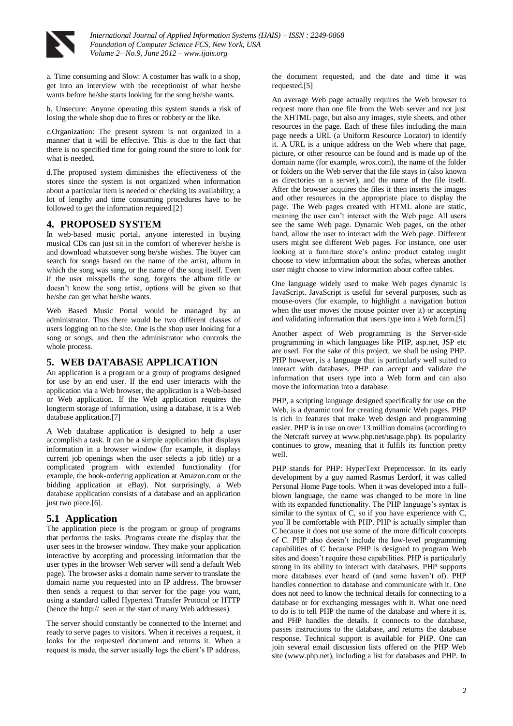

a. Time consuming and Slow: A costumer has walk to a shop, get into an interview with the receptionist of what he/she wants before he/she starts looking for the song he/she wants.

b. Unsecure: Anyone operating this system stands a risk of losing the whole shop due to fires or robbery or the like.

c.Organization: The present system is not organized in a manner that it will be effective. This is due to the fact that there is no specified time for going round the store to look for what is needed.

d.The proposed system diminishes the effectiveness of the stores since the system is not organized when information about a particular item is needed or checking its availability; a lot of lengthy and time consuming procedures have to be followed to get the information required.[2]

## **4. PROPOSED SYSTEM**

In web-based music portal, anyone interested in buying musical CDs can just sit in the comfort of wherever he/she is and download whatsoever song he/she wishes. The buyer can search for songs based on the name of the artist, album in which the song was sang, or the name of the song itself. Even if the user misspells the song, forgets the album title or doesn't know the song artist, options will be given so that he/she can get what he/she wants.

Web Based Music Portal would be managed by an administrator. Thus there would be two different classes of users logging on to the site. One is the shop user looking for a song or songs, and then the administrator who controls the whole process.

## **5. WEB DATABASE APPLICATION**

An application is a program or a group of programs designed for use by an end user. If the end user interacts with the application via a Web browser, the application is a Web-based or Web application. If the Web application requires the longterm storage of information, using a database, it is a Web database application.[7]

A Web database application is designed to help a user accomplish a task. It can be a simple application that displays information in a browser window (for example, it displays current job openings when the user selects a job title) or a complicated program with extended functionality (for example, the book-ordering application at Amazon.com or the bidding application at eBay). Not surprisingly, a Web database application consists of a database and an application just two piece.[6].

# **5.1 Application**

The application piece is the program or group of programs that performs the tasks. Programs create the display that the user sees in the browser window. They make your application interactive by accepting and processing information that the user types in the browser Web server will send a default Web page). The browser asks a domain name server to translate the domain name you requested into an IP address. The browser then sends a request to that server for the page you want, using a standard called Hypertext Transfer Protocol or HTTP (hence the http:// seen at the start of many Web addresses).

The server should constantly be connected to the Internet and ready to serve pages to visitors. When it receives a request, it looks for the requested document and returns it. When a request is made, the server usually logs the client's IP address,

the document requested, and the date and time it was requested.[5]

An average Web page actually requires the Web browser to request more than one file from the Web server and not just the XHTML page, but also any images, style sheets, and other resources in the page. Each of these files including the main page needs a URL (a Uniform Resource Locator) to identify it. A URL is a unique address on the Web where that page, picture, or other resource can be found and is made up of the domain name (for example, wrox.com), the name of the folder or folders on the Web server that the file stays in (also known as directories on a server), and the name of the file itself. After the browser acquires the files it then inserts the images and other resources in the appropriate place to display the page. The Web pages created with HTML alone are static, meaning the user can't interact with the Web page. All users see the same Web page. Dynamic Web pages, on the other hand, allow the user to interact with the Web page. Different users might see different Web pages. For instance, one user looking at a furniture store's online product catalog might choose to view information about the sofas, whereas another user might choose to view information about coffee tables.

One language widely used to make Web pages dynamic is JavaScript. JavaScript is useful for several purposes, such as mouse-overs (for example, to highlight a navigation button when the user moves the mouse pointer over it) or accepting and validating information that users type into a Web form.[5]

Another aspect of Web programming is the Server-side programming in which languages like PHP, asp.net, JSP etc are used. For the sake of this project, we shall be using PHP. PHP however, is a language that is particularly well suited to interact with databases. PHP can accept and validate the information that users type into a Web form and can also move the information into a database.

PHP, a scripting language designed specifically for use on the Web, is a dynamic tool for creating dynamic Web pages. PHP is rich in features that make Web design and programming easier. PHP is in use on over 13 million domains (according to the Netcraft survey at www.php.net/usage.php). Its popularity continues to grow, meaning that it fulfils its function pretty well.

PHP stands for PHP: HyperText Preprocessor. In its early development by a guy named Rasmus Lerdorf, it was called Personal Home Page tools. When it was developed into a fullblown language, the name was changed to be more in line with its expanded functionality. The PHP language's syntax is similar to the syntax of C, so if you have experience with C, you'll be comfortable with PHP. PHP is actually simpler than C because it does not use some of the more difficult concepts of C. PHP also doesn't include the low-level programming capabilities of C because PHP is designed to program Web sites and doesn't require those capabilities. PHP is particularly strong in its ability to interact with databases. PHP supports more databases ever heard of (and some haven't of). PHP handles connection to database and communicate with it. One does not need to know the technical details for connecting to a database or for exchanging messages with it. What one need to do is to tell PHP the name of the database and where it is, and PHP handles the details. It connects to the database, passes instructions to the database, and returns the database response. Technical support is available for PHP. One can join several email discussion lists offered on the PHP Web site (www.php.net), including a list for databases and PHP. In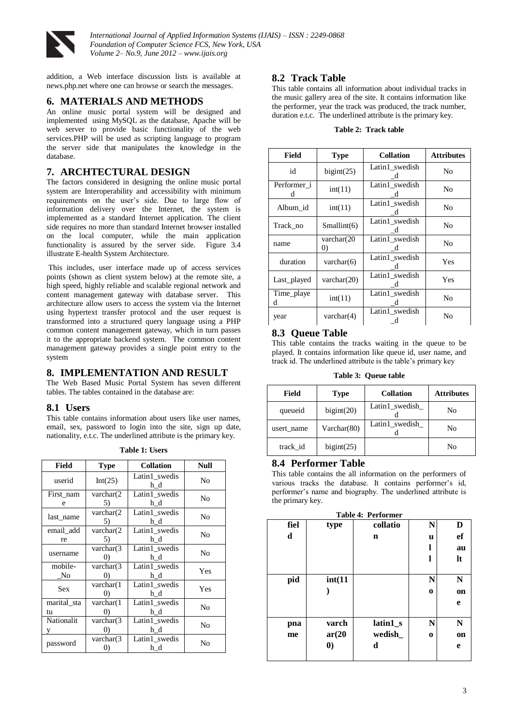

addition, a Web interface discussion lists is available at news.php.net where one can browse or search the messages.

# **6. MATERIALS AND METHODS**

An online music portal system will be designed and implemented using MySQL as the database, Apache will be web server to provide basic functionality of the web services.PHP will be used as scripting language to program the server side that manipulates the knowledge in the database.

# **7. ARCHTECTURAL DESIGN**

The factors considered in designing the online music portal system are Interoperability and accessibility with minimum requirements on the user's side. Due to large flow of information delivery over the Internet, the system is implemented as a standard Internet application. The client side requires no more than standard Internet browser installed on the local computer, while the main application functionality is assured by the server side. Figure 3.4 illustrate E-health System Architecture.

This includes, user interface made up of access services points (shown as client system below) at the remote site, a high speed, highly reliable and scalable regional network and content management gateway with database server. This architecture allow users to access the system via the Internet using hypertext transfer protocol and the user request is transformed into a structured query language using a PHP common content management gateway, which in turn passes it to the appropriate backend system. The common content management gateway provides a single point entry to the system

## **8. IMPLEMENTATION AND RESULT**

The Web Based Music Portal System has seven different tables. The tables contained in the database are:

#### **8.1 Users**

This table contains information about users like user names, email, sex, password to login into the site, sign up date, nationality, e.t.c. The underlined attribute is the primary key.

|  | <b>Table 1: Users</b> |
|--|-----------------------|
|  |                       |

| Field             | <b>Type</b>           | <b>Collation</b>     | <b>Null</b>    |
|-------------------|-----------------------|----------------------|----------------|
| userid            | Int(25)               | Latin1_swedis<br>h d | No             |
| First nam<br>e    | varchar(2<br>5)       | Latin1_swedis<br>h d | No             |
| last_name         | varchar(2<br>5)       | Latin1 swedis<br>h d | No             |
| email add<br>re   | varchar(2<br>5)       | Latin1 swedis<br>h d | N <sub>0</sub> |
| username          | varchar(3<br>$\Omega$ | Latin1 swedis<br>h d | N <sub>0</sub> |
| mobile-<br>No     | varchar(3<br>$\Omega$ | Latin1_swedis<br>h d | Yes            |
| <b>Sex</b>        | varchar(1<br>$_{0}$   | Latin1_swedis<br>h d | <b>Yes</b>     |
| marital sta<br>tu | varchar(1<br>$\Omega$ | Latin1 swedis<br>h d | N <sub>0</sub> |
| Nationalit        | varchar(3             | Latin1_swedis<br>h d | No             |
| password          | varchar(3<br>$\Omega$ | Latin1_swedis<br>h d | No             |

## **8.2 Track Table**

This table contains all information about individual tracks in the music gallery area of the site. It contains information like the performer, year the track was produced, the track number, duration e.t.c. The underlined attribute is the primary key.

| Table 2: Track table |  |  |  |  |
|----------------------|--|--|--|--|
|----------------------|--|--|--|--|

| <b>Field</b>     | <b>Type</b>                     | <b>Collation</b> | <b>Attributes</b> |
|------------------|---------------------------------|------------------|-------------------|
| id               | bigint(25)                      | Latin1_swedish   | No                |
| Performer_i<br>d | int(11)                         | Latin1_swedish   | No                |
| Album id         | int(11)                         | Latin1_swedish   | N <sub>0</sub>    |
| Track no         | Smallint(6)                     | Latin1_swedish   | N <sub>0</sub>    |
| name             | varchar(20<br>$\left( 0\right)$ | Latin1_swedish   | N <sub>0</sub>    |
| duration         | $\text{varchar}(6)$             | Latin1_swedish   | Yes               |
| Last_played      | varchar $(20)$                  | Latin1_swedish   | Yes               |
| Time_playe<br>d  | int(11)                         | Latin1 swedish   | No                |
| year             | $\text{varchar}(4)$             | Latin1 swedish   | No                |

## **8.3 Queue Table**

This table contains the tracks waiting in the queue to be played. It contains information like queue id, user name, and track id. The underlined attribute is the table's primary key

**Table 3: Queue table**

| Field      | <b>Type</b> | <b>Collation</b> | <b>Attributes</b> |
|------------|-------------|------------------|-------------------|
| queueid    | bigint(20)  | Latin1_swedish_  | No                |
| usert name | Varchar(80) | Latin1_swedish_  | No                |
| track id   | bigint(25)  |                  | No                |

#### **8.4 Performer Table**

This table contains the all information on the performers of various tracks the database. It contains performer's id, performer's name and biography. The underlined attribute is the primary key.

|      |                  | <b>Table 4: Performer</b> |   |             |
|------|------------------|---------------------------|---|-------------|
| fiel | type             | collatio                  | N | D           |
| d    |                  | n                         | u | $_{\rm ef}$ |
|      |                  |                           | l | au          |
|      |                  |                           | l | lt          |
|      |                  |                           |   |             |
| pid  | int(11)          |                           | N | $\mathbf N$ |
|      |                  |                           | 0 | on          |
|      |                  |                           |   | e           |
|      |                  |                           |   |             |
| pna  | varch            | latin1_s                  | N | ${\bf N}$   |
| me   | ar(20)           | wedish_                   | 0 | on          |
|      | $\boldsymbol{0}$ | d                         |   | e           |
|      |                  |                           |   |             |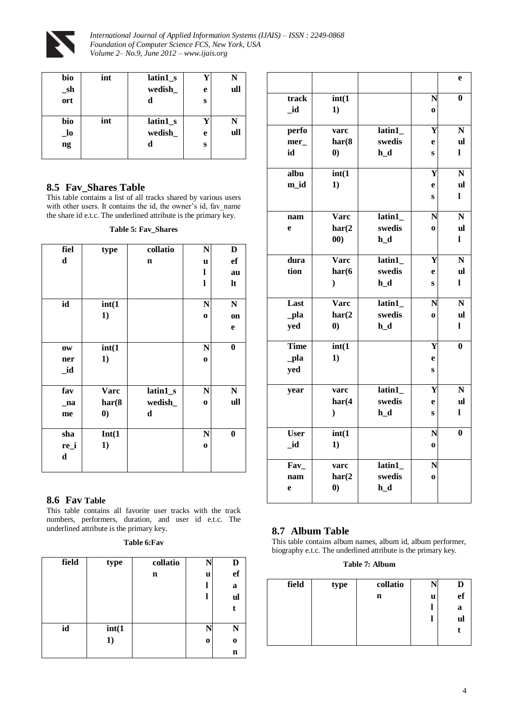

| bio                         | int | $latin1_s$ |   | N   |
|-----------------------------|-----|------------|---|-----|
| $\_sh$                      |     | wedish     | e | ull |
| $_{\rm ort}$                |     | d          | S |     |
|                             |     |            |   |     |
| bio                         | int | $latin1_s$ | Y | N   |
| $\overline{\phantom{a}}$ lo |     | wedish     | e | ull |
| ng                          |     | d          | S |     |
|                             |     |            |   |     |

# **8.5 Fav\_Shares Table**

This table contains a list of all tracks shared by various users with other users. It contains the id, the owner's id, fav\_name the share id e.t.c. The underlined attribute is the primary key.

**Table 5: Fav\_Shares**

| fiel | type             | collatio   | N                  | $\mathbf D$ |
|------|------------------|------------|--------------------|-------------|
| d    |                  | n          | u                  | $_{\rm ef}$ |
|      |                  |            | l                  | au          |
|      |                  |            | l                  | lt          |
|      |                  |            |                    |             |
| id   | int(1            |            | $\overline{\bf N}$ | ${\bf N}$   |
|      | 1)               |            | $\bf{0}$           | on          |
|      |                  |            |                    | $\mathbf e$ |
|      |                  |            |                    |             |
| 0W   | int(1            |            | $\overline{\bf N}$ | $\bf{0}$    |
| ner  | 1)               |            | $\bf{0}$           |             |
| id   |                  |            |                    |             |
|      |                  |            |                    |             |
| fav  | <b>Varc</b>      | $latin1_s$ | $\mathbf N$        | ${\bf N}$   |
| na   | har(8)           | wedish_    | $\bf{0}$           | ull         |
| me   | $\boldsymbol{0}$ | d          |                    |             |
|      |                  |            |                    |             |
| sha  | Int(1)           |            | N                  | $\bf{0}$    |
| re_i | 1)               |            | $\bf{0}$           |             |
| d    |                  |            |                    |             |
|      |                  |            |                    |             |

# **8.6 Fav Table**

This table contains all favorite user tracks with the track numbers, performers, duration, and user id e.t.c. The underlined attribute is the primary key.

| field | type        | collatio<br>n | u<br>l<br>l   | $\frac{D}{ef}$<br>a<br>ul<br>t |
|-------|-------------|---------------|---------------|--------------------------------|
| id    | int(1<br>1) |               | r<br>$\bf{0}$ | N<br>$\bf{0}$<br>$\mathbf n$   |

|                |                     |        |                         | e                       |
|----------------|---------------------|--------|-------------------------|-------------------------|
| track          | int(1               |        | N                       | $\overline{\mathbf{0}}$ |
| id             | 1)                  |        | $\bf{0}$                |                         |
|                |                     |        |                         |                         |
| perfo          | varc                | latin1 | Y                       | $\mathbf N$             |
| $mer_$         | har(8)              | swedis | e                       | ul                      |
| id             | $\boldsymbol{0}$    | $h_d$  | S                       | 1                       |
| albu           | int(1               |        | Y                       | $\mathbf N$             |
| m_id           | 1)                  |        | e                       | ul                      |
|                |                     |        | $\mathbf{s}$            | $\mathbf{l}$            |
|                | <b>Varc</b>         | latin1 |                         | $\overline{\bf N}$      |
| nam            | har(2)              | swedis | N                       | ul                      |
| e              | 00)                 |        | $\bf{o}$                | $\mathbf{l}$            |
|                |                     | $h_d$  |                         |                         |
| dura           | Varc                | latin1 | $\overline{\mathbf{Y}}$ | $\overline{\mathbf{N}}$ |
| tion           | har(6)              | swedis | e                       | ul                      |
|                | $\mathcal{E}$       | $h_d$  | S                       | L                       |
| Last           | Varc                | latin1 | N                       | $\mathbf N$             |
| $_{\perp}$ pla | har(2)              | swedis | $\bf{o}$                | ul                      |
| yed            | $\boldsymbol{0}$    | $h_d$  |                         | l                       |
| <b>Time</b>    | int(1               |        | Y                       | $\bf{0}$                |
| $_{\rm pla}$   | 1)                  |        | e                       |                         |
| yed            |                     |        | S                       |                         |
|                |                     |        |                         |                         |
| year           | varc                | latin1 | Y                       | N                       |
|                | har(4)              | swedis | e                       | ul                      |
|                | $\mathcal{E}$       | $h_d$  | S                       | l                       |
| <b>User</b>    | $int(\overline{1})$ |        | N                       | $\bf{0}$                |
| id             | 1)                  |        | $\bf{0}$                |                         |
| Fav            | varc                | latin1 | N                       |                         |
| nam            | har(2)              | swedis | $\mathbf{o}$            |                         |
| e              | $\boldsymbol{0}$    | $h_d$  |                         |                         |
|                |                     |        |                         |                         |

# **8.7 Album Table**

This table contains album names, album id, album performer, biography e.t.c. The underlined attribute is the primary key.

|--|

| field | type | collatio |   | D           |
|-------|------|----------|---|-------------|
|       |      | n        | u | $_{\rm ef}$ |
|       |      |          | ı | a           |
|       |      |          | ı | ul          |
|       |      |          |   |             |
|       |      |          |   |             |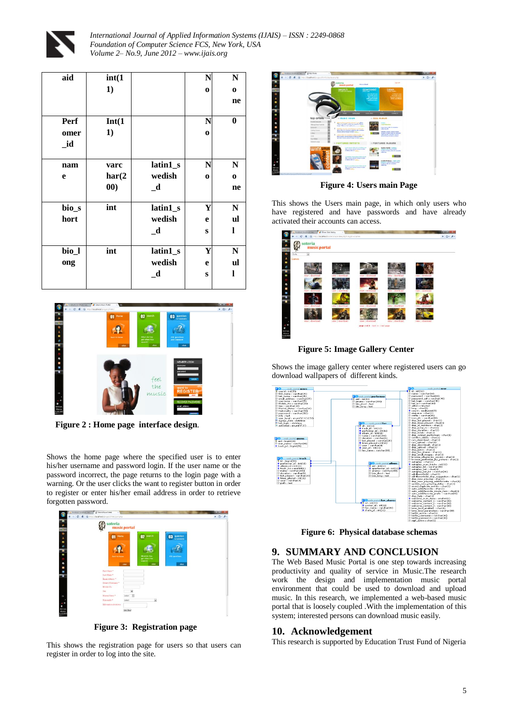

| aid   | int(1  |              | N        | N           |
|-------|--------|--------------|----------|-------------|
|       | 1)     |              | $\bf{0}$ | $\bf o$     |
|       |        |              |          | ne          |
| Perf  | Int(1) |              | N        | 0           |
| omer  | 1)     |              | $\bf{o}$ |             |
| id    |        |              |          |             |
| nam   | varc   | $latin1_s$   | N        | N           |
| e     | har(2) | wedish       | $\bf{0}$ | $\bf{0}$    |
|       | 00)    | $\mathbf{d}$ |          | ne          |
| bio_s | int    | $latin1_s$   | Y        | $\mathbf N$ |
| hort  |        | wedish       | e        | ul          |
|       |        | d            | S        | l           |
| bio_l | int    | $latin1_s$   | Y        | N           |
| ong   |        | wedish       | e        | ul          |
|       |        | d            | S        | ı           |



 **Figure 2 : Home page interface design**.

Shows the home page where the specified user is to enter his/her username and password login. If the user name or the password incorrect, the page returns to the login page with a warning. Or the user clicks the want to register button in order to register or enter his/her email address in order to retrieve forgotten password.



**Figure 3: Registration page** 

This shows the registration page for users so that users can register in order to log into the site.



**Figure 4: Users main Page**

This shows the Users main page, in which only users who have registered and have passwords and have already activated their accounts can access.



 **Figure 5: Image Gallery Center**

Shows the image gallery center where registered users can go download wallpapers of different kinds.



**Figure 6: Physical database schemas**

# **9. SUMMARY AND CONCLUSION**

The Web Based Music Portal is one step towards increasing productivity and quality of service in Music.The research work the design and implementation music portal environment that could be used to download and upload music. In this research, we implemented a web-based music portal that is loosely coupled .With the implementation of this system; interested persons can download music easily.

## **10. Acknowledgement**

This research is supported by Education Trust Fund of Nigeria